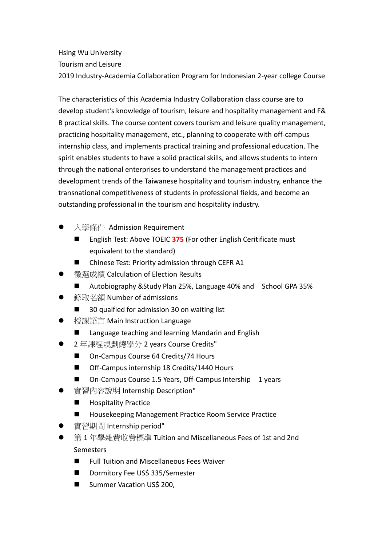Hsing Wu University Tourism and Leisure 2019 Industry-Academia Collaboration Program for Indonesian 2-year college Course

The characteristics of this Academia Industry Collaboration class course are to develop student's knowledge of tourism, leisure and hospitality management and F& B practical skills. The course content covers tourism and leisure quality management, practicing hospitality management, etc., planning to cooperate with off-campus internship class, and implements practical training and professional education. The spirit enables students to have a solid practical skills, and allows students to intern through the national enterprises to understand the management practices and development trends of the Taiwanese hospitality and tourism industry, enhance the transnational competitiveness of students in professional fields, and become an outstanding professional in the tourism and hospitality industry.

- 入學條件 Admission Requirement
	- English Test: Above TOEIC 375 (For other English Ceritificate must equivalent to the standard)
	- Chinese Test: Priority admission through CEFR A1
- 徵選成績 Calculation of Election Results
	- Autobiography &Study Plan 25%, Language 40% and School GPA 35%
- 錄取名額 Number of admissions
	- 30 qualfied for admission 30 on waiting list
- 授課語言 Main Instruction Language
	- Language teaching and learning Mandarin and English
- 2 年課程規劃總學分 2 years Course Credits"
	- On-Campus Course 64 Credits/74 Hours
	- Off-Campus internship 18 Credits/1440 Hours
	- On-Campus Course 1.5 Years, Off-Campus Intership 1 years
- 實習內容說明 Internship Description"
	- **Hospitality Practice**
	- Housekeeping Management Practice Room Service Practice
- 實習期間 Internship period"
- 第 1 年學雜費收費標準 Tuition and Miscellaneous Fees of 1st and 2nd **Semesters** 
	- Full Tuition and Miscellaneous Fees Waiver
	- Dormitory Fee US\$ 335/Semester
	- Summer Vacation US\$ 200,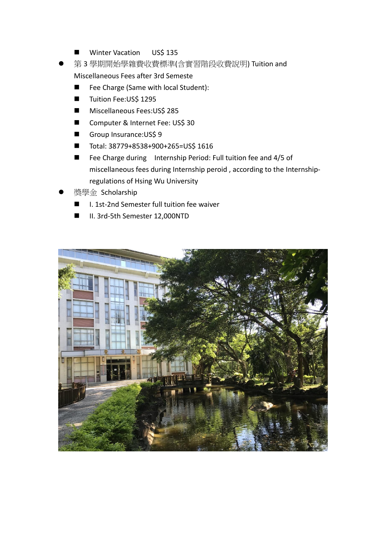- **Winter Vacation USS 135**
- 第 3 學期開始學雜費收費標準(含實習階段收費說明) Tuition and Miscellaneous Fees after 3rd Semeste
	- Fee Charge (Same with local Student):
	- Tuition Fee:US\$ 1295
	- Miscellaneous Fees:US\$ 285
	- Computer & Internet Fee: US\$ 30
	- Group Insurance:US\$ 9
	- $\blacksquare$  Total: 38779+8538+900+265=US\$ 1616
	- Fee Charge during Internship Period: Full tuition fee and 4/5 of miscellaneous fees during Internship peroid , according to the Internshipregulations of Hsing Wu University
- 獎學金 Scholarship
	- I. 1st-2nd Semester full tuition fee waiver
	- II. 3rd-5th Semester 12,000NTD